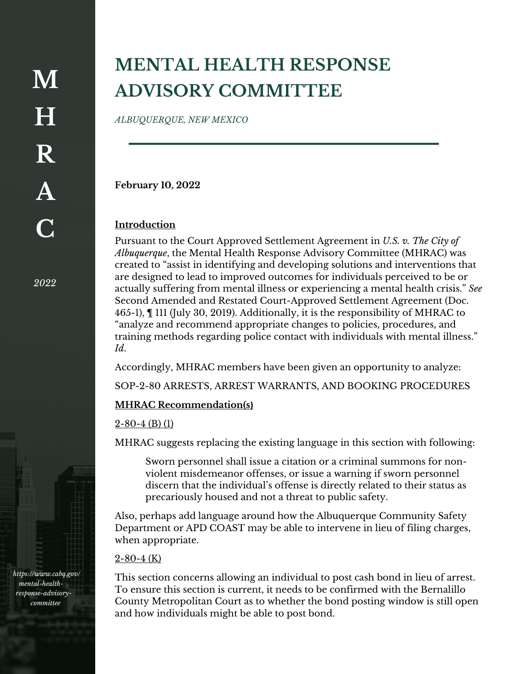*2022*

*https://www.cabq.gov/ mental-healthresponse-advisorycommittee*

# **MENTAL HEALTH RESPONSE ADVISORY COMMITTEE**

*ALBUQUERQUE, NEW MEXICO*

**February 10, 2022**

## **Introduction**

Pursuant to the Court Approved Settlement Agreement in *U.S. v. The City of Albuquerque*, the Mental Health Response Advisory Committee (MHRAC) was created to "assist in identifying and developing solutions and interventions that are designed to lead to improved outcomes for individuals perceived to be or actually suffering from mental illness or experiencing a mental health crisis." *See*  Second Amended and Restated Court-Approved Settlement Agreement (Doc. 465-1), ¶ 111 (July 30, 2019). Additionally, it is the responsibility of MHRAC to "analyze and recommend appropriate changes to policies, procedures, and training methods regarding police contact with individuals with mental illness." *Id*.

Accordingly, MHRAC members have been given an opportunity to analyze:

SOP-2-80 ARRESTS, ARREST WARRANTS, AND BOOKING PROCEDURES

### **MHRAC Recommendation(s)**

### 2-80-4 (B) (1)

MHRAC suggests replacing the existing language in this section with following:

Sworn personnel shall issue a citation or a criminal summons for nonviolent misdemeanor offenses, or issue a warning if sworn personnel discern that the individual's offense is directly related to their status as precariously housed and not a threat to public safety.

Also, perhaps add language around how the Albuquerque Community Safety Department or APD COAST may be able to intervene in lieu of filing charges, when appropriate.

#### 2-80-4 (K)

This section concerns allowing an individual to post cash bond in lieu of arrest. To ensure this section is current, it needs to be confirmed with the Bernalillo County Metropolitan Court as to whether the bond posting window is still open and how individuals might be able to post bond.